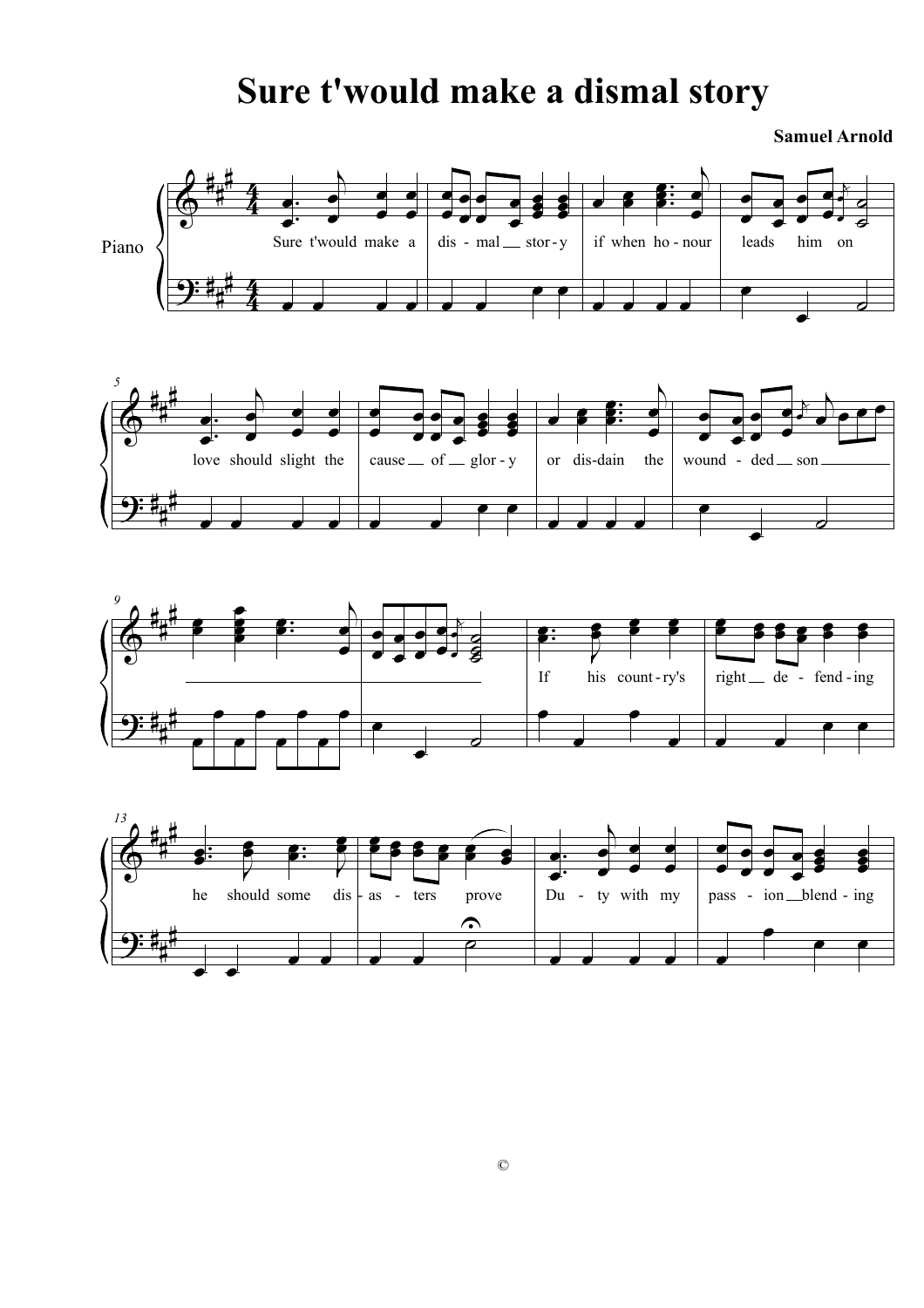## **Sure t'would make a dismal story**

**Samuel Arnold**